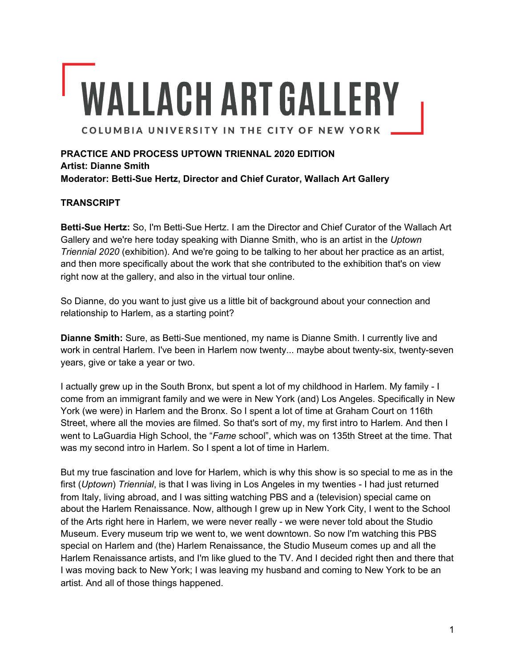# **WALLACH ART GALLERY** COLUMBIA UNIVERSITY IN THE CITY OF NEW YORK

**PRACTICE AND PROCESS UPTOWN TRIENNAL 2020 EDITION Artist: Dianne Smith Moderator: Betti-Sue Hertz, Director and Chief Curator, Wallach Art Gallery**

# **TRANSCRIPT**

**Betti-Sue Hertz:** So, I'm Betti-Sue Hertz. I am the Director and Chief Curator of the Wallach Art Gallery and we're here today speaking with Dianne Smith, who is an artist in the *Uptown Triennial 2020* (exhibition). And we're going to be talking to her about her practice as an artist, and then more specifically about the work that she contributed to the exhibition that's on view right now at the gallery, and also in the virtual tour online.

So Dianne, do you want to just give us a little bit of background about your connection and relationship to Harlem, as a starting point?

**Dianne Smith:** Sure, as Betti-Sue mentioned, my name is Dianne Smith. I currently live and work in central Harlem. I've been in Harlem now twenty... maybe about twenty-six, twenty-seven years, give or take a year or two.

I actually grew up in the South Bronx, but spent a lot of my childhood in Harlem. My family - I come from an immigrant family and we were in New York (and) Los Angeles. Specifically in New York (we were) in Harlem and the Bronx. So I spent a lot of time at Graham Court on 116th Street, where all the movies are filmed. So that's sort of my, my first intro to Harlem. And then I went to LaGuardia High School, the "*Fame* school", which was on 135th Street at the time. That was my second intro in Harlem. So I spent a lot of time in Harlem.

But my true fascination and love for Harlem, which is why this show is so special to me as in the first (*Uptown*) *Triennial*, is that I was living in Los Angeles in my twenties - I had just returned from Italy, living abroad, and I was sitting watching PBS and a (television) special came on about the Harlem Renaissance. Now, although I grew up in New York City, I went to the School of the Arts right here in Harlem, we were never really - we were never told about the Studio Museum. Every museum trip we went to, we went downtown. So now I'm watching this PBS special on Harlem and (the) Harlem Renaissance, the Studio Museum comes up and all the Harlem Renaissance artists, and I'm like glued to the TV. And I decided right then and there that I was moving back to New York; I was leaving my husband and coming to New York to be an artist. And all of those things happened.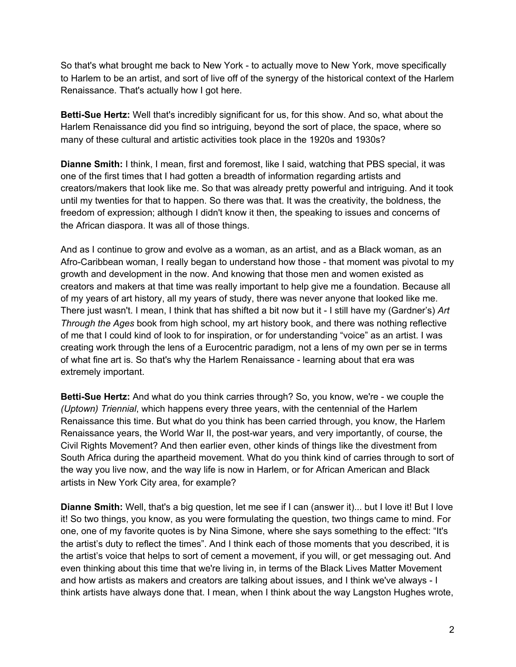So that's what brought me back to New York - to actually move to New York, move specifically to Harlem to be an artist, and sort of live off of the synergy of the historical context of the Harlem Renaissance. That's actually how I got here.

**Betti-Sue Hertz:** Well that's incredibly significant for us, for this show. And so, what about the Harlem Renaissance did you find so intriguing, beyond the sort of place, the space, where so many of these cultural and artistic activities took place in the 1920s and 1930s?

**Dianne Smith:** I think, I mean, first and foremost, like I said, watching that PBS special, it was one of the first times that I had gotten a breadth of information regarding artists and creators/makers that look like me. So that was already pretty powerful and intriguing. And it took until my twenties for that to happen. So there was that. It was the creativity, the boldness, the freedom of expression; although I didn't know it then, the speaking to issues and concerns of the African diaspora. It was all of those things.

And as I continue to grow and evolve as a woman, as an artist, and as a Black woman, as an Afro-Caribbean woman, I really began to understand how those - that moment was pivotal to my growth and development in the now. And knowing that those men and women existed as creators and makers at that time was really important to help give me a foundation. Because all of my years of art history, all my years of study, there was never anyone that looked like me. There just wasn't. I mean, I think that has shifted a bit now but it - I still have my (Gardner's) *Art Through the Ages* book from high school, my art history book, and there was nothing reflective of me that I could kind of look to for inspiration, or for understanding "voice" as an artist. I was creating work through the lens of a Eurocentric paradigm, not a lens of my own per se in terms of what fine art is. So that's why the Harlem Renaissance - learning about that era was extremely important.

**Betti-Sue Hertz:** And what do you think carries through? So, you know, we're - we couple the *(Uptown) Triennial*, which happens every three years, with the centennial of the Harlem Renaissance this time. But what do you think has been carried through, you know, the Harlem Renaissance years, the World War II, the post-war years, and very importantly, of course, the Civil Rights Movement? And then earlier even, other kinds of things like the divestment from South Africa during the apartheid movement. What do you think kind of carries through to sort of the way you live now, and the way life is now in Harlem, or for African American and Black artists in New York City area, for example?

**Dianne Smith:** Well, that's a big question, let me see if I can (answer it)... but I love it! But I love it! So two things, you know, as you were formulating the question, two things came to mind. For one, one of my favorite quotes is by Nina Simone, where she says something to the effect: "It's the artist's duty to reflect the times". And I think each of those moments that you described, it is the artist's voice that helps to sort of cement a movement, if you will, or get messaging out. And even thinking about this time that we're living in, in terms of the Black Lives Matter Movement and how artists as makers and creators are talking about issues, and I think we've always - I think artists have always done that. I mean, when I think about the way Langston Hughes wrote,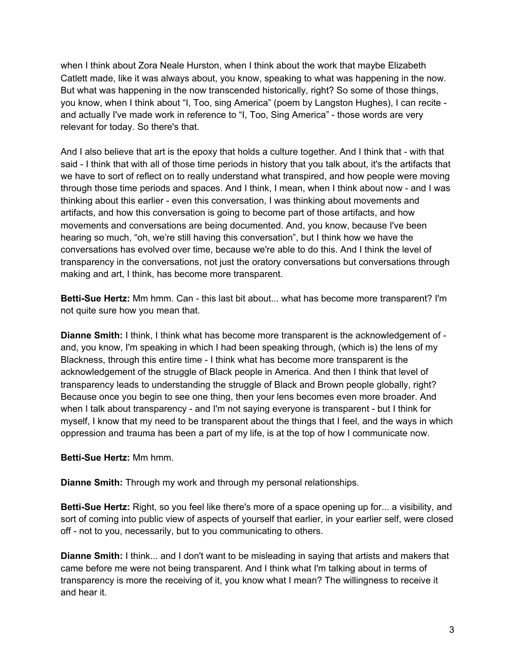when I think about Zora Neale Hurston, when I think about the work that maybe Elizabeth Catlett made, like it was always about, you know, speaking to what was happening in the now. But what was happening in the now transcended historically, right? So some of those things, you know, when I think about "I, Too, sing America" (poem by Langston Hughes), I can recite and actually I've made work in reference to "I, Too, Sing America" - those words are very relevant for today. So there's that.

And I also believe that art is the epoxy that holds a culture together. And I think that - with that said - I think that with all of those time periods in history that you talk about, it's the artifacts that we have to sort of reflect on to really understand what transpired, and how people were moving through those time periods and spaces. And I think, I mean, when I think about now - and I was thinking about this earlier - even this conversation, I was thinking about movements and artifacts, and how this conversation is going to become part of those artifacts, and how movements and conversations are being documented. And, you know, because I've been hearing so much, "oh, we're still having this conversation", but I think how we have the conversations has evolved over time, because we're able to do this. And I think the level of transparency in the conversations, not just the oratory conversations but conversations through making and art, I think, has become more transparent.

**Betti-Sue Hertz:** Mm hmm. Can - this last bit about... what has become more transparent? I'm not quite sure how you mean that.

**Dianne Smith:** I think, I think what has become more transparent is the acknowledgement of and, you know, I'm speaking in which I had been speaking through, (which is) the lens of my Blackness, through this entire time - I think what has become more transparent is the acknowledgement of the struggle of Black people in America. And then I think that level of transparency leads to understanding the struggle of Black and Brown people globally, right? Because once you begin to see one thing, then your lens becomes even more broader. And when I talk about transparency - and I'm not saying everyone is transparent - but I think for myself, I know that my need to be transparent about the things that I feel, and the ways in which oppression and trauma has been a part of my life, is at the top of how I communicate now.

### **Betti-Sue Hertz:** Mm hmm.

**Dianne Smith:** Through my work and through my personal relationships.

**Betti-Sue Hertz:** Right, so you feel like there's more of a space opening up for... a visibility, and sort of coming into public view of aspects of yourself that earlier, in your earlier self, were closed off - not to you, necessarily, but to you communicating to others.

**Dianne Smith:** I think... and I don't want to be misleading in saying that artists and makers that came before me were not being transparent. And I think what I'm talking about in terms of transparency is more the receiving of it, you know what I mean? The willingness to receive it and hear it.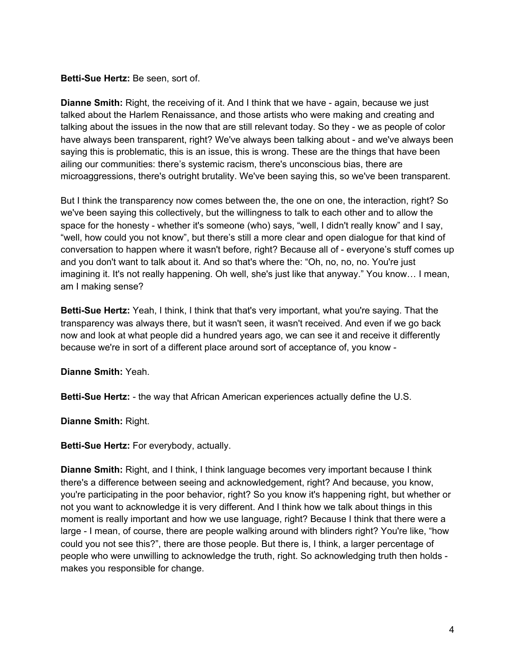### **Betti-Sue Hertz:** Be seen, sort of.

**Dianne Smith:** Right, the receiving of it. And I think that we have - again, because we just talked about the Harlem Renaissance, and those artists who were making and creating and talking about the issues in the now that are still relevant today. So they - we as people of color have always been transparent, right? We've always been talking about - and we've always been saying this is problematic, this is an issue, this is wrong. These are the things that have been ailing our communities: there's systemic racism, there's unconscious bias, there are microaggressions, there's outright brutality. We've been saying this, so we've been transparent.

But I think the transparency now comes between the, the one on one, the interaction, right? So we've been saying this collectively, but the willingness to talk to each other and to allow the space for the honesty - whether it's someone (who) says, "well, I didn't really know" and I say, "well, how could you not know", but there's still a more clear and open dialogue for that kind of conversation to happen where it wasn't before, right? Because all of - everyone's stuff comes up and you don't want to talk about it. And so that's where the: "Oh, no, no, no. You're just imagining it. It's not really happening. Oh well, she's just like that anyway." You know… I mean, am I making sense?

**Betti-Sue Hertz:** Yeah, I think, I think that that's very important, what you're saying. That the transparency was always there, but it wasn't seen, it wasn't received. And even if we go back now and look at what people did a hundred years ago, we can see it and receive it differently because we're in sort of a different place around sort of acceptance of, you know -

**Dianne Smith:** Yeah.

**Betti-Sue Hertz:** - the way that African American experiences actually define the U.S.

**Dianne Smith:** Right.

**Betti-Sue Hertz:** For everybody, actually.

**Dianne Smith:** Right, and I think, I think language becomes very important because I think there's a difference between seeing and acknowledgement, right? And because, you know, you're participating in the poor behavior, right? So you know it's happening right, but whether or not you want to acknowledge it is very different. And I think how we talk about things in this moment is really important and how we use language, right? Because I think that there were a large - I mean, of course, there are people walking around with blinders right? You're like, "how could you not see this?", there are those people. But there is, I think, a larger percentage of people who were unwilling to acknowledge the truth, right. So acknowledging truth then holds makes you responsible for change.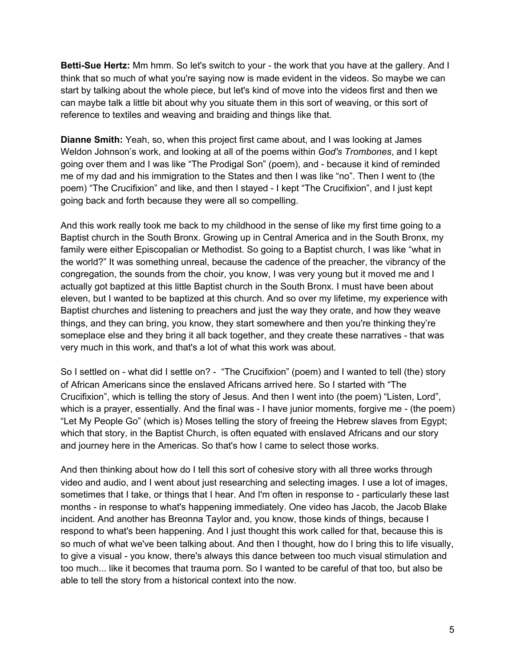**Betti-Sue Hertz:** Mm hmm. So let's switch to your - the work that you have at the gallery. And I think that so much of what you're saying now is made evident in the videos. So maybe we can start by talking about the whole piece, but let's kind of move into the videos first and then we can maybe talk a little bit about why you situate them in this sort of weaving, or this sort of reference to textiles and weaving and braiding and things like that.

**Dianne Smith:** Yeah, so, when this project first came about, and I was looking at James Weldon Johnson's work, and looking at all of the poems within *God's Trombones*, and I kept going over them and I was like "The Prodigal Son" (poem), and - because it kind of reminded me of my dad and his immigration to the States and then I was like "no". Then I went to (the poem) "The Crucifixion" and like, and then I stayed - I kept "The Crucifixion", and I just kept going back and forth because they were all so compelling.

And this work really took me back to my childhood in the sense of like my first time going to a Baptist church in the South Bronx. Growing up in Central America and in the South Bronx, my family were either Episcopalian or Methodist. So going to a Baptist church, I was like "what in the world?" It was something unreal, because the cadence of the preacher, the vibrancy of the congregation, the sounds from the choir, you know, I was very young but it moved me and I actually got baptized at this little Baptist church in the South Bronx. I must have been about eleven, but I wanted to be baptized at this church. And so over my lifetime, my experience with Baptist churches and listening to preachers and just the way they orate, and how they weave things, and they can bring, you know, they start somewhere and then you're thinking they're someplace else and they bring it all back together, and they create these narratives - that was very much in this work, and that's a lot of what this work was about.

So I settled on - what did I settle on? - "The Crucifixion" (poem) and I wanted to tell (the) story of African Americans since the enslaved Africans arrived here. So I started with "The Crucifixion", which is telling the story of Jesus. And then I went into (the poem) "Listen, Lord", which is a prayer, essentially. And the final was - I have junior moments, forgive me - (the poem) "Let My People Go" (which is) Moses telling the story of freeing the Hebrew slaves from Egypt; which that story, in the Baptist Church, is often equated with enslaved Africans and our story and journey here in the Americas. So that's how I came to select those works.

And then thinking about how do I tell this sort of cohesive story with all three works through video and audio, and I went about just researching and selecting images. I use a lot of images, sometimes that I take, or things that I hear. And I'm often in response to - particularly these last months - in response to what's happening immediately. One video has Jacob, the Jacob Blake incident. And another has Breonna Taylor and, you know, those kinds of things, because I respond to what's been happening. And I just thought this work called for that, because this is so much of what we've been talking about. And then I thought, how do I bring this to life visually, to give a visual - you know, there's always this dance between too much visual stimulation and too much... like it becomes that trauma porn. So I wanted to be careful of that too, but also be able to tell the story from a historical context into the now.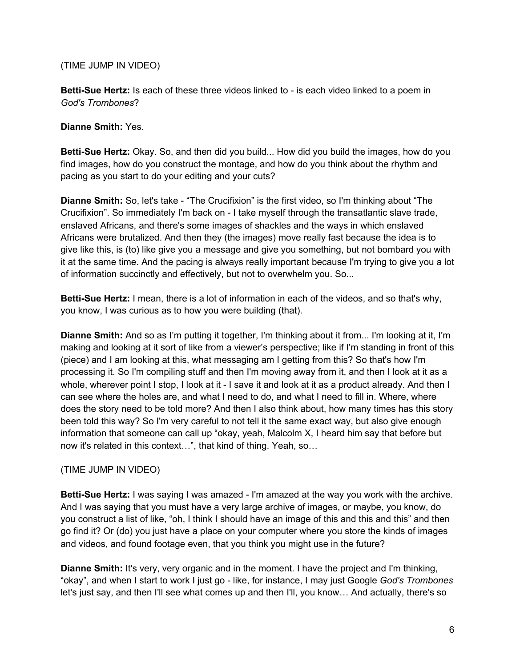(TIME JUMP IN VIDEO)

**Betti-Sue Hertz:** Is each of these three videos linked to - is each video linked to a poem in *God's Trombones*?

**Dianne Smith:** Yes.

**Betti-Sue Hertz:** Okay. So, and then did you build... How did you build the images, how do you find images, how do you construct the montage, and how do you think about the rhythm and pacing as you start to do your editing and your cuts?

**Dianne Smith:** So, let's take - "The Crucifixion" is the first video, so I'm thinking about "The Crucifixion". So immediately I'm back on - I take myself through the transatlantic slave trade, enslaved Africans, and there's some images of shackles and the ways in which enslaved Africans were brutalized. And then they (the images) move really fast because the idea is to give like this, is (to) like give you a message and give you something, but not bombard you with it at the same time. And the pacing is always really important because I'm trying to give you a lot of information succinctly and effectively, but not to overwhelm you. So...

**Betti-Sue Hertz:** I mean, there is a lot of information in each of the videos, and so that's why, you know, I was curious as to how you were building (that).

**Dianne Smith:** And so as I'm putting it together, I'm thinking about it from... I'm looking at it, I'm making and looking at it sort of like from a viewer's perspective; like if I'm standing in front of this (piece) and I am looking at this, what messaging am I getting from this? So that's how I'm processing it. So I'm compiling stuff and then I'm moving away from it, and then I look at it as a whole, wherever point I stop, I look at it - I save it and look at it as a product already. And then I can see where the holes are, and what I need to do, and what I need to fill in. Where, where does the story need to be told more? And then I also think about, how many times has this story been told this way? So I'm very careful to not tell it the same exact way, but also give enough information that someone can call up "okay, yeah, Malcolm X, I heard him say that before but now it's related in this context…", that kind of thing. Yeah, so…

(TIME JUMP IN VIDEO)

**Betti-Sue Hertz:** I was saying I was amazed - I'm amazed at the way you work with the archive. And I was saying that you must have a very large archive of images, or maybe, you know, do you construct a list of like, "oh, I think I should have an image of this and this and this" and then go find it? Or (do) you just have a place on your computer where you store the kinds of images and videos, and found footage even, that you think you might use in the future?

**Dianne Smith:** It's very, very organic and in the moment. I have the project and I'm thinking, "okay", and when I start to work I just go - like, for instance, I may just Google *God's Trombones* let's just say, and then I'll see what comes up and then I'll, you know… And actually, there's so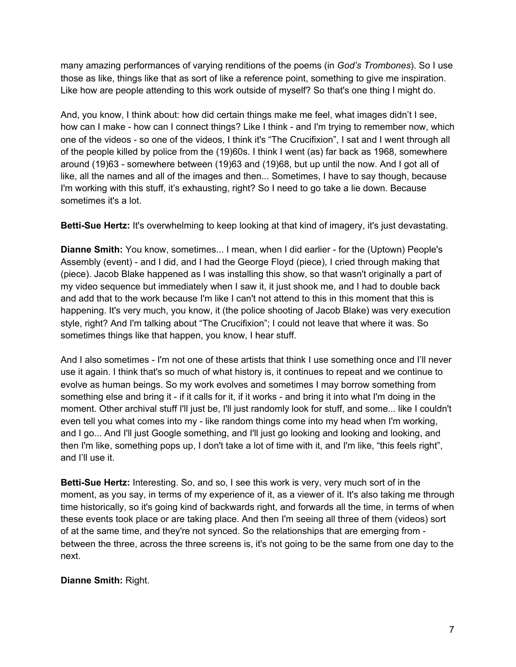many amazing performances of varying renditions of the poems (in *God's Trombones*). So I use those as like, things like that as sort of like a reference point, something to give me inspiration. Like how are people attending to this work outside of myself? So that's one thing I might do.

And, you know, I think about: how did certain things make me feel, what images didn't I see, how can I make - how can I connect things? Like I think - and I'm trying to remember now, which one of the videos - so one of the videos, I think it's "The Crucifixion", I sat and I went through all of the people killed by police from the (19)60s. I think I went (as) far back as 1968, somewhere around (19)63 - somewhere between (19)63 and (19)68, but up until the now. And I got all of like, all the names and all of the images and then... Sometimes, I have to say though, because I'm working with this stuff, it's exhausting, right? So I need to go take a lie down. Because sometimes it's a lot.

**Betti-Sue Hertz:** It's overwhelming to keep looking at that kind of imagery, it's just devastating.

**Dianne Smith:** You know, sometimes... I mean, when I did earlier - for the (Uptown) People's Assembly (event) - and I did, and I had the George Floyd (piece), I cried through making that (piece). Jacob Blake happened as I was installing this show, so that wasn't originally a part of my video sequence but immediately when I saw it, it just shook me, and I had to double back and add that to the work because I'm like I can't not attend to this in this moment that this is happening. It's very much, you know, it (the police shooting of Jacob Blake) was very execution style, right? And I'm talking about "The Crucifixion"; I could not leave that where it was. So sometimes things like that happen, you know, I hear stuff.

And I also sometimes - I'm not one of these artists that think I use something once and I'll never use it again. I think that's so much of what history is, it continues to repeat and we continue to evolve as human beings. So my work evolves and sometimes I may borrow something from something else and bring it - if it calls for it, if it works - and bring it into what I'm doing in the moment. Other archival stuff I'll just be, I'll just randomly look for stuff, and some... like I couldn't even tell you what comes into my - like random things come into my head when I'm working, and I go... And I'll just Google something, and I'll just go looking and looking and looking, and then I'm like, something pops up, I don't take a lot of time with it, and I'm like, "this feels right", and I'll use it.

**Betti-Sue Hertz:** Interesting. So, and so, I see this work is very, very much sort of in the moment, as you say, in terms of my experience of it, as a viewer of it. It's also taking me through time historically, so it's going kind of backwards right, and forwards all the time, in terms of when these events took place or are taking place. And then I'm seeing all three of them (videos) sort of at the same time, and they're not synced. So the relationships that are emerging from between the three, across the three screens is, it's not going to be the same from one day to the next.

# **Dianne Smith:** Right.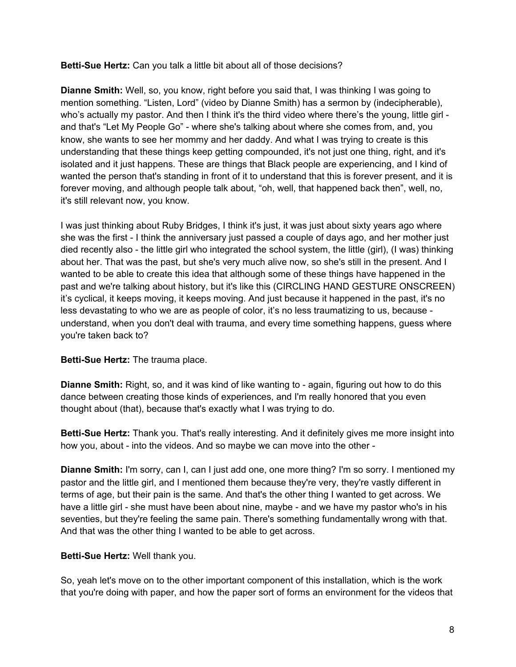## **Betti-Sue Hertz:** Can you talk a little bit about all of those decisions?

**Dianne Smith:** Well, so, you know, right before you said that, I was thinking I was going to mention something. "Listen, Lord" (video by Dianne Smith) has a sermon by (indecipherable), who's actually my pastor. And then I think it's the third video where there's the young, little girl and that's "Let My People Go" - where she's talking about where she comes from, and, you know, she wants to see her mommy and her daddy. And what I was trying to create is this understanding that these things keep getting compounded, it's not just one thing, right, and it's isolated and it just happens. These are things that Black people are experiencing, and I kind of wanted the person that's standing in front of it to understand that this is forever present, and it is forever moving, and although people talk about, "oh, well, that happened back then", well, no, it's still relevant now, you know.

I was just thinking about Ruby Bridges, I think it's just, it was just about sixty years ago where she was the first - I think the anniversary just passed a couple of days ago, and her mother just died recently also - the little girl who integrated the school system, the little (girl), (I was) thinking about her. That was the past, but she's very much alive now, so she's still in the present. And I wanted to be able to create this idea that although some of these things have happened in the past and we're talking about history, but it's like this (CIRCLING HAND GESTURE ONSCREEN) it's cyclical, it keeps moving, it keeps moving. And just because it happened in the past, it's no less devastating to who we are as people of color, it's no less traumatizing to us, because understand, when you don't deal with trauma, and every time something happens, guess where you're taken back to?

### **Betti-Sue Hertz:** The trauma place.

**Dianne Smith:** Right, so, and it was kind of like wanting to - again, figuring out how to do this dance between creating those kinds of experiences, and I'm really honored that you even thought about (that), because that's exactly what I was trying to do.

**Betti-Sue Hertz:** Thank you. That's really interesting. And it definitely gives me more insight into how you, about - into the videos. And so maybe we can move into the other -

**Dianne Smith:** I'm sorry, can I, can I just add one, one more thing? I'm so sorry. I mentioned my pastor and the little girl, and I mentioned them because they're very, they're vastly different in terms of age, but their pain is the same. And that's the other thing I wanted to get across. We have a little girl - she must have been about nine, maybe - and we have my pastor who's in his seventies, but they're feeling the same pain. There's something fundamentally wrong with that. And that was the other thing I wanted to be able to get across.

### **Betti-Sue Hertz:** Well thank you.

So, yeah let's move on to the other important component of this installation, which is the work that you're doing with paper, and how the paper sort of forms an environment for the videos that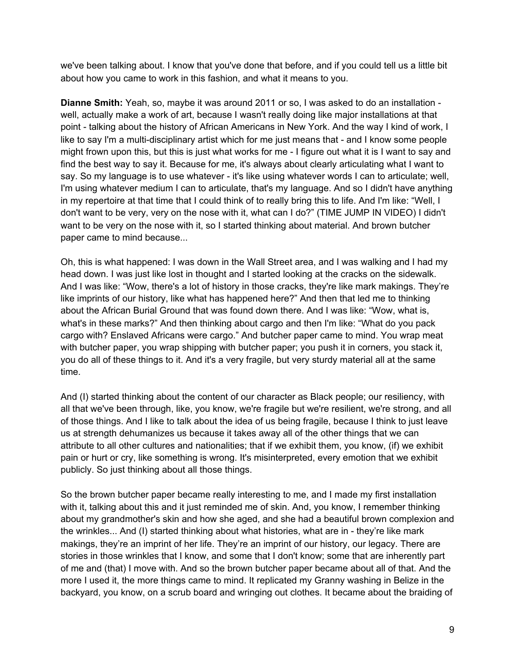we've been talking about. I know that you've done that before, and if you could tell us a little bit about how you came to work in this fashion, and what it means to you.

**Dianne Smith:** Yeah, so, maybe it was around 2011 or so, I was asked to do an installation well, actually make a work of art, because I wasn't really doing like major installations at that point - talking about the history of African Americans in New York. And the way I kind of work, I like to say I'm a multi-disciplinary artist which for me just means that - and I know some people might frown upon this, but this is just what works for me - I figure out what it is I want to say and find the best way to say it. Because for me, it's always about clearly articulating what I want to say. So my language is to use whatever - it's like using whatever words I can to articulate; well, I'm using whatever medium I can to articulate, that's my language. And so I didn't have anything in my repertoire at that time that I could think of to really bring this to life. And I'm like: "Well, I don't want to be very, very on the nose with it, what can I do?" (TIME JUMP IN VIDEO) I didn't want to be very on the nose with it, so I started thinking about material. And brown butcher paper came to mind because...

Oh, this is what happened: I was down in the Wall Street area, and I was walking and I had my head down. I was just like lost in thought and I started looking at the cracks on the sidewalk. And I was like: "Wow, there's a lot of history in those cracks, they're like mark makings. They're like imprints of our history, like what has happened here?" And then that led me to thinking about the African Burial Ground that was found down there. And I was like: "Wow, what is, what's in these marks?" And then thinking about cargo and then I'm like: "What do you pack cargo with? Enslaved Africans were cargo." And butcher paper came to mind. You wrap meat with butcher paper, you wrap shipping with butcher paper; you push it in corners, you stack it, you do all of these things to it. And it's a very fragile, but very sturdy material all at the same time.

And (I) started thinking about the content of our character as Black people; our resiliency, with all that we've been through, like, you know, we're fragile but we're resilient, we're strong, and all of those things. And I like to talk about the idea of us being fragile, because I think to just leave us at strength dehumanizes us because it takes away all of the other things that we can attribute to all other cultures and nationalities; that if we exhibit them, you know, (if) we exhibit pain or hurt or cry, like something is wrong. It's misinterpreted, every emotion that we exhibit publicly. So just thinking about all those things.

So the brown butcher paper became really interesting to me, and I made my first installation with it, talking about this and it just reminded me of skin. And, you know, I remember thinking about my grandmother's skin and how she aged, and she had a beautiful brown complexion and the wrinkles... And (I) started thinking about what histories, what are in - they're like mark makings, they're an imprint of her life. They're an imprint of our history, our legacy. There are stories in those wrinkles that I know, and some that I don't know; some that are inherently part of me and (that) I move with. And so the brown butcher paper became about all of that. And the more I used it, the more things came to mind. It replicated my Granny washing in Belize in the backyard, you know, on a scrub board and wringing out clothes. It became about the braiding of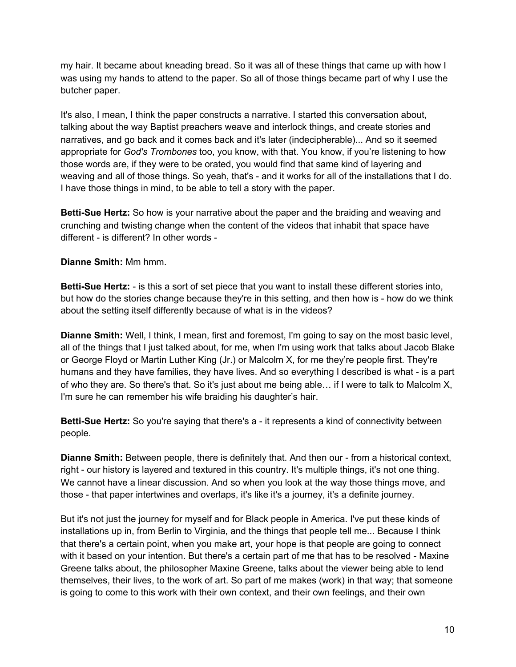my hair. It became about kneading bread. So it was all of these things that came up with how I was using my hands to attend to the paper. So all of those things became part of why I use the butcher paper.

It's also, I mean, I think the paper constructs a narrative. I started this conversation about, talking about the way Baptist preachers weave and interlock things, and create stories and narratives, and go back and it comes back and it's later (indecipherable)... And so it seemed appropriate for *God's Trombones* too, you know, with that. You know, if you're listening to how those words are, if they were to be orated, you would find that same kind of layering and weaving and all of those things. So yeah, that's - and it works for all of the installations that I do. I have those things in mind, to be able to tell a story with the paper.

**Betti-Sue Hertz:** So how is your narrative about the paper and the braiding and weaving and crunching and twisting change when the content of the videos that inhabit that space have different - is different? In other words -

# **Dianne Smith:** Mm hmm.

**Betti-Sue Hertz:** - is this a sort of set piece that you want to install these different stories into, but how do the stories change because they're in this setting, and then how is - how do we think about the setting itself differently because of what is in the videos?

**Dianne Smith:** Well, I think, I mean, first and foremost, I'm going to say on the most basic level, all of the things that I just talked about, for me, when I'm using work that talks about Jacob Blake or George Floyd or Martin Luther King (Jr.) or Malcolm X, for me they're people first. They're humans and they have families, they have lives. And so everything I described is what - is a part of who they are. So there's that. So it's just about me being able… if I were to talk to Malcolm X, I'm sure he can remember his wife braiding his daughter's hair.

**Betti-Sue Hertz:** So you're saying that there's a - it represents a kind of connectivity between people.

**Dianne Smith:** Between people, there is definitely that. And then our - from a historical context, right - our history is layered and textured in this country. It's multiple things, it's not one thing. We cannot have a linear discussion. And so when you look at the way those things move, and those - that paper intertwines and overlaps, it's like it's a journey, it's a definite journey.

But it's not just the journey for myself and for Black people in America. I've put these kinds of installations up in, from Berlin to Virginia, and the things that people tell me... Because I think that there's a certain point, when you make art, your hope is that people are going to connect with it based on your intention. But there's a certain part of me that has to be resolved - Maxine Greene talks about, the philosopher Maxine Greene, talks about the viewer being able to lend themselves, their lives, to the work of art. So part of me makes (work) in that way; that someone is going to come to this work with their own context, and their own feelings, and their own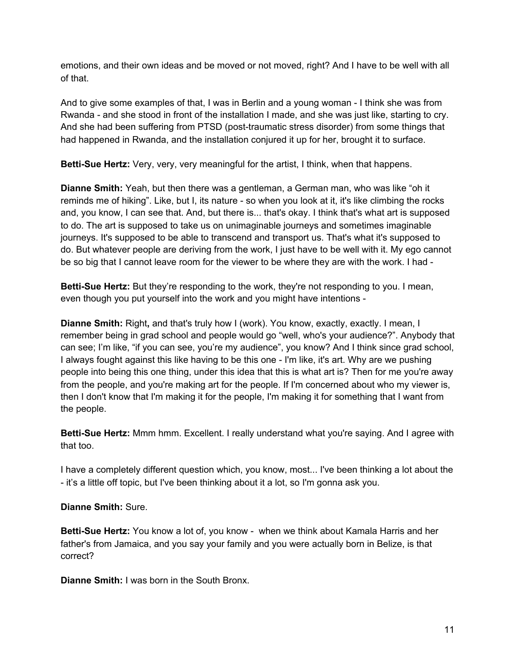emotions, and their own ideas and be moved or not moved, right? And I have to be well with all of that.

And to give some examples of that, I was in Berlin and a young woman - I think she was from Rwanda - and she stood in front of the installation I made, and she was just like, starting to cry. And she had been suffering from PTSD (post-traumatic stress disorder) from some things that had happened in Rwanda, and the installation conjured it up for her, brought it to surface.

**Betti-Sue Hertz:** Very, very, very meaningful for the artist, I think, when that happens.

**Dianne Smith:** Yeah, but then there was a gentleman, a German man, who was like "oh it reminds me of hiking". Like, but I, its nature - so when you look at it, it's like climbing the rocks and, you know, I can see that. And, but there is... that's okay. I think that's what art is supposed to do. The art is supposed to take us on unimaginable journeys and sometimes imaginable journeys. It's supposed to be able to transcend and transport us. That's what it's supposed to do. But whatever people are deriving from the work, I just have to be well with it. My ego cannot be so big that I cannot leave room for the viewer to be where they are with the work. I had -

**Betti-Sue Hertz:** But they're responding to the work, they're not responding to you. I mean, even though you put yourself into the work and you might have intentions -

**Dianne Smith:** Right**,** and that's truly how I (work). You know, exactly, exactly. I mean, I remember being in grad school and people would go "well, who's your audience?". Anybody that can see; I'm like, "if you can see, you're my audience", you know? And I think since grad school, I always fought against this like having to be this one - I'm like, it's art. Why are we pushing people into being this one thing, under this idea that this is what art is? Then for me you're away from the people, and you're making art for the people. If I'm concerned about who my viewer is, then I don't know that I'm making it for the people, I'm making it for something that I want from the people.

**Betti-Sue Hertz:** Mmm hmm. Excellent. I really understand what you're saying. And I agree with that too.

I have a completely different question which, you know, most... I've been thinking a lot about the - it's a little off topic, but I've been thinking about it a lot, so I'm gonna ask you.

# **Dianne Smith:** Sure.

**Betti-Sue Hertz:** You know a lot of, you know - when we think about Kamala Harris and her father's from Jamaica, and you say your family and you were actually born in Belize, is that correct?

**Dianne Smith:** I was born in the South Bronx.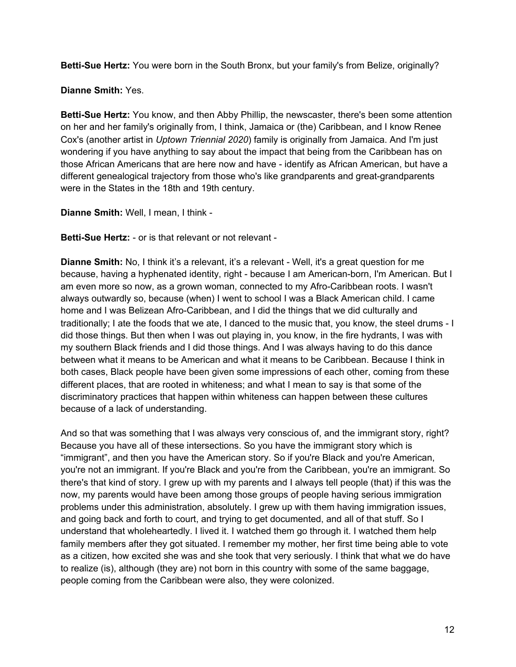**Betti-Sue Hertz:** You were born in the South Bronx, but your family's from Belize, originally?

**Dianne Smith:** Yes.

**Betti-Sue Hertz:** You know, and then Abby Phillip, the newscaster, there's been some attention on her and her family's originally from, I think, Jamaica or (the) Caribbean, and I know Renee Cox's (another artist in *Uptown Triennial 2020*) family is originally from Jamaica. And I'm just wondering if you have anything to say about the impact that being from the Caribbean has on those African Americans that are here now and have - identify as African American, but have a different genealogical trajectory from those who's like grandparents and great-grandparents were in the States in the 18th and 19th century.

**Dianne Smith:** Well, I mean, I think -

**Betti-Sue Hertz:** - or is that relevant or not relevant -

**Dianne Smith:** No, I think it's a relevant, it's a relevant - Well, it's a great question for me because, having a hyphenated identity, right - because I am American-born, I'm American. But I am even more so now, as a grown woman, connected to my Afro-Caribbean roots. I wasn't always outwardly so, because (when) I went to school I was a Black American child. I came home and I was Belizean Afro-Caribbean, and I did the things that we did culturally and traditionally; I ate the foods that we ate, I danced to the music that, you know, the steel drums - I did those things. But then when I was out playing in, you know, in the fire hydrants, I was with my southern Black friends and I did those things. And I was always having to do this dance between what it means to be American and what it means to be Caribbean. Because I think in both cases, Black people have been given some impressions of each other, coming from these different places, that are rooted in whiteness; and what I mean to say is that some of the discriminatory practices that happen within whiteness can happen between these cultures because of a lack of understanding.

And so that was something that I was always very conscious of, and the immigrant story, right? Because you have all of these intersections. So you have the immigrant story which is "immigrant", and then you have the American story. So if you're Black and you're American, you're not an immigrant. If you're Black and you're from the Caribbean, you're an immigrant. So there's that kind of story. I grew up with my parents and I always tell people (that) if this was the now, my parents would have been among those groups of people having serious immigration problems under this administration, absolutely. I grew up with them having immigration issues, and going back and forth to court, and trying to get documented, and all of that stuff. So I understand that wholeheartedly. I lived it. I watched them go through it. I watched them help family members after they got situated. I remember my mother, her first time being able to vote as a citizen, how excited she was and she took that very seriously. I think that what we do have to realize (is), although (they are) not born in this country with some of the same baggage, people coming from the Caribbean were also, they were colonized.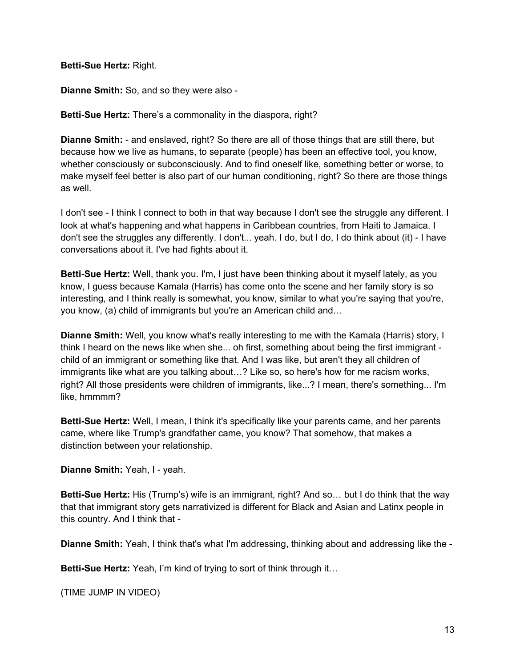**Betti-Sue Hertz:** Right.

**Dianne Smith:** So, and so they were also -

**Betti-Sue Hertz:** There's a commonality in the diaspora, right?

**Dianne Smith:** - and enslaved, right? So there are all of those things that are still there, but because how we live as humans, to separate (people) has been an effective tool, you know, whether consciously or subconsciously. And to find oneself like, something better or worse, to make myself feel better is also part of our human conditioning, right? So there are those things as well.

I don't see - I think I connect to both in that way because I don't see the struggle any different. I look at what's happening and what happens in Caribbean countries, from Haiti to Jamaica. I don't see the struggles any differently. I don't... yeah. I do, but I do, I do think about (it) - I have conversations about it. I've had fights about it.

**Betti-Sue Hertz:** Well, thank you. I'm, I just have been thinking about it myself lately, as you know, I guess because Kamala (Harris) has come onto the scene and her family story is so interesting, and I think really is somewhat, you know, similar to what you're saying that you're, you know, (a) child of immigrants but you're an American child and…

**Dianne Smith:** Well, you know what's really interesting to me with the Kamala (Harris) story, I think I heard on the news like when she... oh first, something about being the first immigrant child of an immigrant or something like that. And I was like, but aren't they all children of immigrants like what are you talking about…? Like so, so here's how for me racism works, right? All those presidents were children of immigrants, like...? I mean, there's something... I'm like, hmmmm?

**Betti-Sue Hertz:** Well, I mean, I think it's specifically like your parents came, and her parents came, where like Trump's grandfather came, you know? That somehow, that makes a distinction between your relationship.

**Dianne Smith:** Yeah, I - yeah.

**Betti-Sue Hertz:** His (Trump's) wife is an immigrant, right? And so… but I do think that the way that that immigrant story gets narrativized is different for Black and Asian and Latinx people in this country. And I think that -

**Dianne Smith:** Yeah, I think that's what I'm addressing, thinking about and addressing like the -

**Betti-Sue Hertz:** Yeah, I'm kind of trying to sort of think through it…

(TIME JUMP IN VIDEO)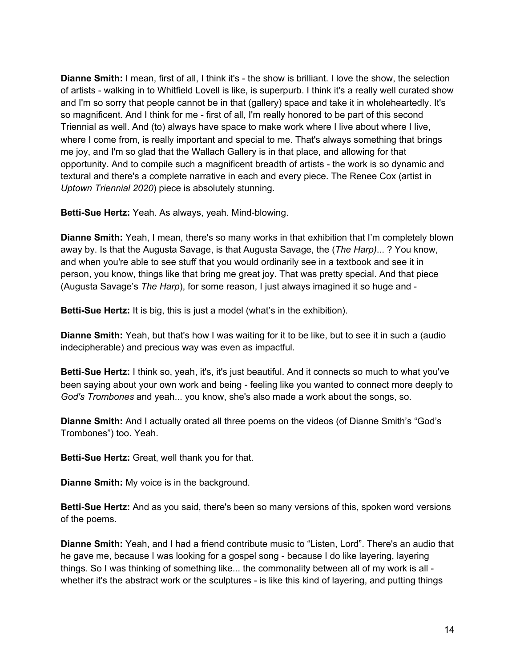**Dianne Smith:** I mean, first of all, I think it's - the show is brilliant. I love the show, the selection of artists - walking in to Whitfield Lovell is like, is superpurb. I think it's a really well curated show and I'm so sorry that people cannot be in that (gallery) space and take it in wholeheartedly. It's so magnificent. And I think for me - first of all, I'm really honored to be part of this second Triennial as well. And (to) always have space to make work where I live about where I live, where I come from, is really important and special to me. That's always something that brings me joy, and I'm so glad that the Wallach Gallery is in that place, and allowing for that opportunity. And to compile such a magnificent breadth of artists - the work is so dynamic and textural and there's a complete narrative in each and every piece. The Renee Cox (artist in *Uptown Triennial 2020*) piece is absolutely stunning.

**Betti-Sue Hertz:** Yeah. As always, yeah. Mind-blowing.

**Dianne Smith:** Yeah, I mean, there's so many works in that exhibition that I'm completely blown away by. Is that the Augusta Savage, is that Augusta Savage, the (*The Harp)*... ? You know, and when you're able to see stuff that you would ordinarily see in a textbook and see it in person, you know, things like that bring me great joy. That was pretty special. And that piece (Augusta Savage's *The Harp*), for some reason, I just always imagined it so huge and -

**Betti-Sue Hertz:** It is big, this is just a model (what's in the exhibition).

**Dianne Smith:** Yeah, but that's how I was waiting for it to be like, but to see it in such a (audio indecipherable) and precious way was even as impactful.

**Betti-Sue Hertz:** I think so, yeah, it's, it's just beautiful. And it connects so much to what you've been saying about your own work and being - feeling like you wanted to connect more deeply to *God's Trombones* and yeah... you know, she's also made a work about the songs, so.

**Dianne Smith:** And I actually orated all three poems on the videos (of Dianne Smith's "God's Trombones") too. Yeah.

**Betti-Sue Hertz:** Great, well thank you for that.

**Dianne Smith:** My voice is in the background.

**Betti-Sue Hertz:** And as you said, there's been so many versions of this, spoken word versions of the poems.

**Dianne Smith:** Yeah, and I had a friend contribute music to "Listen, Lord". There's an audio that he gave me, because I was looking for a gospel song - because I do like layering, layering things. So I was thinking of something like... the commonality between all of my work is all whether it's the abstract work or the sculptures - is like this kind of layering, and putting things